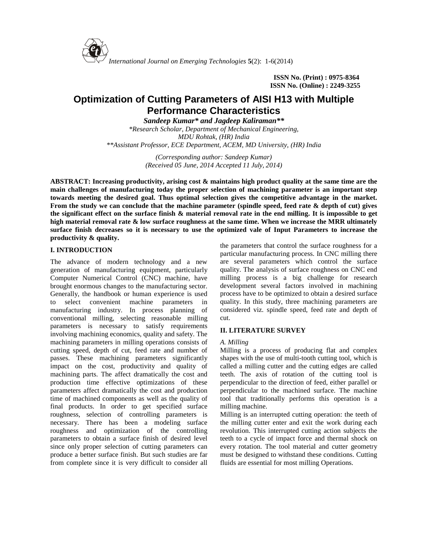

**ISSN No. (Print) : 0975-8364 ISSN No. (Online) : 2249-3255**

# **Optimization of Cutting Parameters of AISI H13 with Multiple Performance Characteristics**

*Sandeep Kumar\* and Jagdeep Kaliraman\*\**

*\*Research Scholar, Department of Mechanical Engineering, MDU Rohtak, (HR) India \*\*Assistant Professor, ECE Department, ACEM, MD University, (HR) India*

> *(Corresponding author: Sandeep Kumar) (Received 05 June, 2014 Accepted 11 July, 2014)*

**ABSTRACT: Increasing productivity, arising cost & maintains high product quality at the same time are the main challenges of manufacturing today the proper selection of machining parameter is an important step towards meeting the desired goal. Thus optimal selection gives the competitive advantage in the market. From the study we can conclude that the machine parameter (spindle speed, feed rate & depth of cut) gives the significant effect on the surface finish & material removal rate in the end milling. It is impossible to get high material removal rate & low surface roughness at the same time. When we increase the MRR ultimately surface finish decreases so it is necessary to use the optimized vale of Input Parameters to increase the productivity & quality.**

## **I. INTRODUCTION**

The advance of modern technology and a new generation of manufacturing equipment, particularly Computer Numerical Control (CNC) machine, have brought enormous changes to the manufacturing sector. Generally, the handbook or human experience is used to select convenient machine parameters in manufacturing industry. In process planning of conventional milling, selecting reasonable milling parameters is necessary to satisfy requirements involving machining economics, quality and safety. The machining parameters in milling operations consists of cutting speed, depth of cut, feed rate and number of passes. These machining parameters significantly impact on the cost, productivity and quality of machining parts. The affect dramatically the cost and production time effective optimizations of these parameters affect dramatically the cost and production time of machined components as well as the quality of final products. In order to get specified surface roughness, selection of controlling parameters is necessary. There has been a modeling surface roughness and optimization of the controlling parameters to obtain a surface finish of desired level since only proper selection of cutting parameters can produce a better surface finish. But such studies are far from complete since it is very difficult to consider all

the parameters that control the surface roughness for a particular manufacturing process. In CNC milling there are several parameters which control the surface quality. The analysis of surface roughness on CNC end milling process is a big challenge for research development several factors involved in machining process have to be optimized to obtain a desired surface quality. In this study, three machining parameters are considered viz. spindle speed, feed rate and depth of cut.

# **II. LITERATURE SURVEY**

#### *A. Milling*

Milling is a process of producing flat and complex shapes with the use of multi-tooth cutting tool, which is called a milling cutter and the cutting edges are called teeth. The axis of rotation of the cutting tool is perpendicular to the direction of feed, either parallel or perpendicular to the machined surface. The machine tool that traditionally performs this operation is a milling machine.

Milling is an interrupted cutting operation: the teeth of the milling cutter enter and exit the work during each revolution. This interrupted cutting action subjects the teeth to a cycle of impact force and thermal shock on every rotation. The tool material and cutter geometry must be designed to withstand these conditions. Cutting fluids are essential for most milling Operations.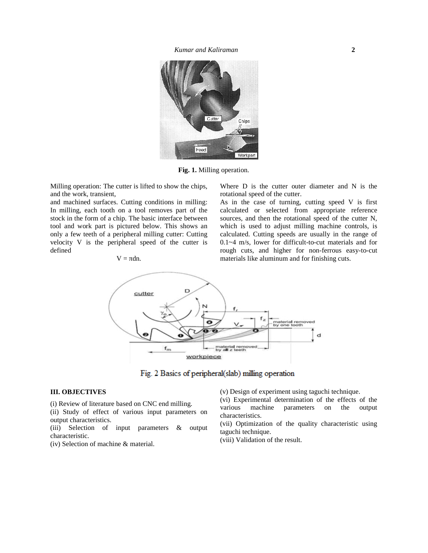*Kumar and Kaliraman* **2**



**Fig. 1.** Milling operation.

Milling operation: The cutter is lifted to show the chips, and the work, transient,

and machined surfaces. Cutting conditions in milling: In milling, each tooth on a tool removes part of the stock in the form of a chip. The basic interface between tool and work part is pictured below. This shows an only a few teeth of a peripheral milling cutter: Cutting velocity V is the peripheral speed of the cutter is defined

$$
V = dn.
$$

Where D is the cutter outer diameter and N is the rotational speed of the cutter.

As in the case of turning, cutting speed V is first calculated or selected from appropriate reference sources, and then the rotational speed of the cutter N, which is used to adjust milling machine controls, is calculated. Cutting speeds are usually in the range of 0.1~4 m/s, lower for difficult-to-cut materials and for rough cuts, and higher for non-ferrous easy-to-cut materials like aluminum and for finishing cuts.



Fig. 2 Basics of peripheral(slab) milling operation

### **III. OBJECTIVES**

(i) Review of literature based on CNC end milling.

(i) Review of incrition based on CIVC chamming.<br>
(ii) Study of effect of various input parameters on output characteristics.

(iii) Selection of input parameters & output characteristic.

(iv) Selection of machine & material.

(v) Design of experiment using taguchi technique.

(vi) Experimental determination of the effects of the machine parameters on the output characteristics.

(vii) Optimization of the quality characteristic using taguchi technique.

(viii) Validation of the result.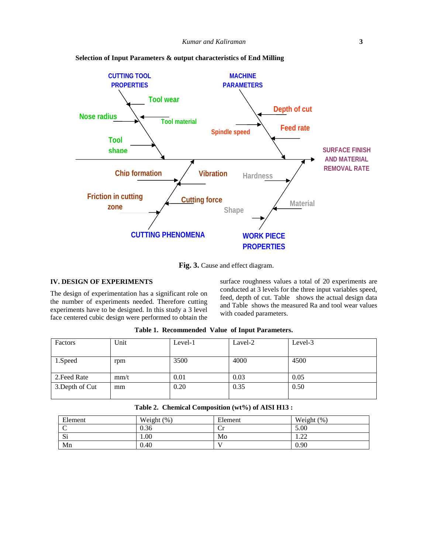

**Selection of Input Parameters & output characteristics of End Milling**

**Fig. 3.** Cause and effect diagram.

# **IV. DESIGN OF EXPERIMENTS**

The design of experimentation has a significant role on the number of experiments needed. Therefore cutting experiments have to be designed. In this study a 3 level face centered cubic design were performed to obtain the

surface roughness values a total of 20 experiments are conducted at 3 levels for the three input variables speed, feed, depth of cut. Table shows the actual design data and Table shows the measured Ra and tool wear values with coaded parameters.

| Factors         | Unit | Level-1 | Lavel-2 | Level-3 |
|-----------------|------|---------|---------|---------|
|                 |      |         |         |         |
| 1.Speed         | rpm  | 3500    | 4000    | 4500    |
|                 |      |         |         |         |
| 2. Feed Rate    | mm/t | 0.01    | 0.03    | 0.05    |
| 3. Depth of Cut | mm   | 0.20    | 0.35    | 0.50    |
|                 |      |         |         |         |

**Table 1. Recommended Value of Input Parameters.**

|  |  |  | Table 2. Chemical Composition (wt%) of AISI H13 : |  |
|--|--|--|---------------------------------------------------|--|
|--|--|--|---------------------------------------------------|--|

| Element | Weight (%) | Element | Weight (%) |
|---------|------------|---------|------------|
| C       | 0.36       | ◡       | 5.00       |
| Si      | 1.00       | Mo      | $\sim$<br> |
| Mn      | 0.40       |         | 0.90       |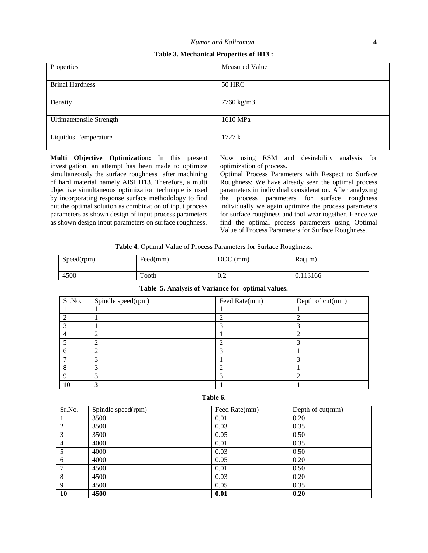**Table 3. Mechanical Properties of H13 :**

| Properties                      | Measured Value |
|---------------------------------|----------------|
| <b>Brinal Hardness</b>          | <b>50 HRC</b>  |
| Density                         | 7760 kg/m3     |
| <b>Ultimatetensile Strength</b> | 1610 MPa       |
| Liquidus Temperature            | 1727k          |

**Multi Objective Optimization:** In this present investigation, an attempt has been made to optimize simultaneously the surface roughness after machining of hard material namely AISI H13. Therefore, a multi objective simultaneous optimization technique is used by incorporating response surface methodology to find out the optimal solution as combination of input process parameters as shown design of input process parameters as shown design input parameters on surface roughness.

Now using RSM and desirability analysis for optimization of process.

Optimal Process Parameters with Respect to Surface Roughness: We have already seen the optimal process parameters in individual consideration. After analyzing the process parameters for surface roughness individually we again optimize the process parameters for surface roughness and tool wear together. Hence we find the optimal process parameters using Optimal Value of Process Parameters for Surface Roughness.

| Table 4. Optimal Value of Process Parameters for Surface Roughness. |  |
|---------------------------------------------------------------------|--|
|---------------------------------------------------------------------|--|

| Speed(rpm) | Feed(mm) | $DOC$ (mm) | $Ra(\mu m)$ |
|------------|----------|------------|-------------|
| 4500       | Tooth    | ∪.∠        | 0.113166    |

| Sr.No. | Spindle speed(rpm) | Feed Rate(mm) | Depth of cut(mm) |
|--------|--------------------|---------------|------------------|
|        |                    |               |                  |
|        |                    |               |                  |
|        |                    |               |                  |
|        | $\overline{ }$     |               |                  |
|        | ◠                  |               |                  |
|        |                    |               |                  |
|        |                    |               |                  |
| o      | ⌒                  |               |                  |
|        | っ                  |               |                  |
| 10     |                    |               |                  |

**Table 5. Analysis of Variance for optimal values.**

| Table 6. |  |
|----------|--|

| Sr.No.         | Spindle speed(rpm) | Feed Rate(mm) | Depth of cut(mm) |
|----------------|--------------------|---------------|------------------|
|                | 3500               | 0.01          | 0.20             |
| $\overline{2}$ | 3500               | 0.03          | 0.35             |
| 3              | 3500               | 0.05          | 0.50             |
| $\overline{4}$ | 4000               | 0.01          | 0.35             |
| 5              | 4000               | 0.03          | 0.50             |
| 6              | 4000               | 0.05          | 0.20             |
|                | 4500               | 0.01          | 0.50             |
| 8              | 4500               | 0.03          | 0.20             |
| $\mathbf Q$    | 4500               | 0.05          | 0.35             |
| 10             | 4500               | 0.01          | 0.20             |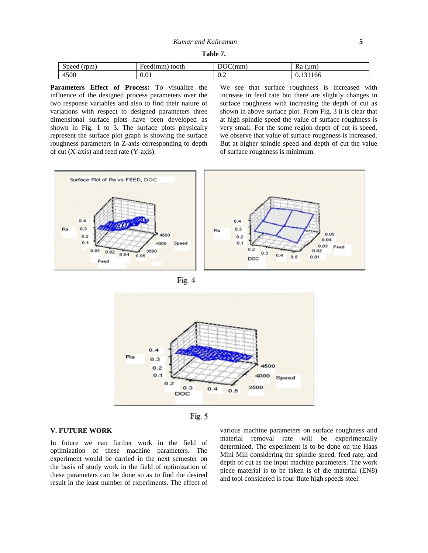| Table 7. |  |  |
|----------|--|--|
|----------|--|--|

| $\sim$<br>$^{\circ}$ rpm,<br>speed ! | tooth<br>Feed(mm | DOC(<br>mm                   | (u <sub>m</sub> )<br>Ka<br>___ |
|--------------------------------------|------------------|------------------------------|--------------------------------|
| 4500                                 | $\sim$           | $\mathsf{U}.\mathsf{\Delta}$ | 1166                           |
|                                      | 0.01             |                              | <u>v. I J</u>                  |

**Parameters Effect of Process:** To visualize the influence of the designed process parameters over the two response variables and also to find their nature of variations with respect to designed parameters three dimensional surface plots have been developed as shown in Fig. 1 to 3. The surface plots physically represent the surface plot graph is showing the surface roughness parameters in Z-axis corresponding to depth of cut (X-axis) and feed rate (Y-axis).

We see that surface roughness is increased with increase in feed rate but there are slightly changes in surface roughness with increasing the depth of cut as shown in above surface plot. From Fig. 3 it is clear that at high spindle speed the value of surface roughness is very small. For the some region depth of cut is speed, we observe that value of surface roughness is increased. But at higher spindle speed and depth of cut the value of surface roughness is minimum.









#### **V. FUTURE WORK**

In future we can further work in the field of optimization of these machine parameters. The experiment would be carried in the next semester on the basis of study work in the field of optimization of these parameters can be done so as to find the desired result in the least number of experiments. The effect of

various machine parameters on surface roughness and material removal rate will be experimentally determined. The experiment is to be done on the Haas Mini Mill considering the spindle speed, feed rate, and depth of cut as the input machine parameters. The work piece material is to be taken is of die material (EN8) and tool considered is four flute high speeds steel.